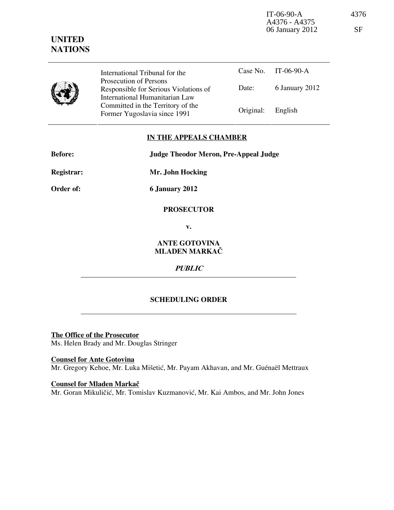IT-06-90-A 4376 A4376 - A4375 06 January 2012 SF

# UNITED **NATIONS**

|   | International Tribunal for the                                                                    |                   | Case No. IT-06-90-A |
|---|---------------------------------------------------------------------------------------------------|-------------------|---------------------|
| y | Prosecution of Persons<br>Responsible for Serious Violations of<br>International Humanitarian Law | Date:             | 6 January 2012      |
|   | Committed in the Territory of the<br>Former Yugoslavia since 1991                                 | Original: English |                     |

## IN THE APPEALS CHAMBER

| <b>Before:</b>    | <b>Judge Theodor Meron, Pre-Appeal Judge</b> |
|-------------------|----------------------------------------------|
| <b>Registrar:</b> | Mr. John Hocking                             |
| Order of:         | <b>6 January 2012</b>                        |

#### **PROSECUTOR**

v.

## ANTE GOTOVINA MLADEN MARKAČ

PUBLIC

## SCHEDULING ORDER

The Office of the Prosecutor Ms. Helen Brady and Mr. Douglas Stringer

Counsel for Ante Gotovina Mr. Gregory Kehoe, Mr. Luka Mišetić, Mr. Payam Akhavan, and Mr. Guénaël Mettraux

Counsel for Mladen Markač Mr. Goran Mikuličić, Mr. Tomislav Kuzmanović, Mr. Kai Ambos, and Mr. John Jones